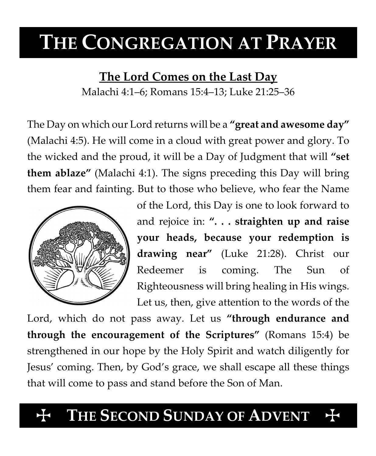# **THE CONGREGATION AT PRAYER**

**The Lord Comes on the Last Day**

Malachi 4:1–6; Romans 15:4–13; Luke 21:25–36

The Day on which our Lord returns will be a **"great and awesome day"** (Malachi 4:5). He will come in a cloud with great power and glory. To the wicked and the proud, it will be a Day of Judgment that will **"set them ablaze"** (Malachi 4:1). The signs preceding this Day will bring them fear and fainting. But to those who believe, who fear the Name



of the Lord, this Day is one to look forward to and rejoice in: **". . . straighten up and raise your heads, because your redemption is drawing near"** (Luke 21:28). Christ our Redeemer is coming. The Sun of Righteousness will bring healing in His wings. Let us, then, give attention to the words of the

Lord, which do not pass away. Let us **"through endurance and through the encouragement of the Scriptures"** (Romans 15:4) be strengthened in our hope by the Holy Spirit and watch diligently for Jesus' coming. Then, by God's grace, we shall escape all these things that will come to pass and stand before the Son of Man.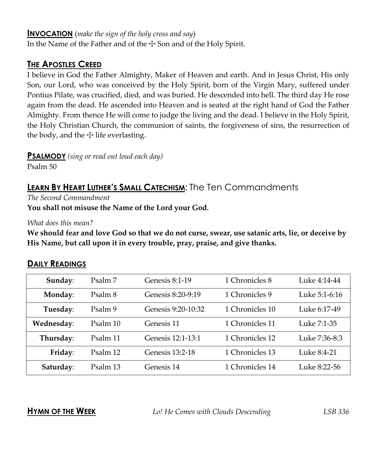# **INVOCATION** (*make the sign of the holy cross and say*)

In the Name of the Father and of the  $\pm$  Son and of the Holy Spirit.

# **THE APOSTLES CREED**

I believe in God the Father Almighty, Maker of Heaven and earth. And in Jesus Christ, His only Son, our Lord, who was conceived by the Holy Spirit, born of the Virgin Mary, suffered under Pontius Pilate, was crucified, died, and was buried. He descended into hell. The third day He rose again from the dead. He ascended into Heaven and is seated at the right hand of God the Father Almighty. From thence He will come to judge the living and the dead. I believe in the Holy Spirit, the Holy Christian Church, the communion of saints, the forgiveness of sins, the resurrection of the body, and the  $\pm$  life everlasting.

# **PSALMODY** *(sing or read out loud each day)*

Psalm 50

# **LEARN BY HEART LUTHER'S SMALL CATECHISM**: The Ten Commandments

*The Second Commandment*

**You shall not misuse the Name of the Lord your God.**

*What does this mean?*

**We should fear and love God so that we do not curse, swear, use satanic arts, lie, or deceive by His Name, but call upon it in every trouble, pray, praise, and give thanks.**

# **DAILY READINGS**

| Sunday:    | Psalm 7  | Genesis 8:1-19     | 1 Chronicles 8  | Luke 4:14-44  |
|------------|----------|--------------------|-----------------|---------------|
| Monday:    | Psalm 8  | Genesis 8:20-9:19  | 1 Chronicles 9  | Luke 5:1-6:16 |
| Tuesday:   | Psalm 9  | Genesis 9:20-10:32 | 1 Chronicles 10 | Luke 6:17-49  |
| Wednesday: | Psalm 10 | Genesis 11         | 1 Chronicles 11 | Luke 7:1-35   |
| Thursday:  | Psalm 11 | Genesis 12:1-13:1  | 1 Chronicles 12 | Luke 7:36-8:3 |
| Friday:    | Psalm 12 | Genesis 13:2-18    | 1 Chronicles 13 | Luke 8:4-21   |
| Saturday:  | Psalm 13 | Genesis 14         | 1 Chronicles 14 | Luke 8:22-56  |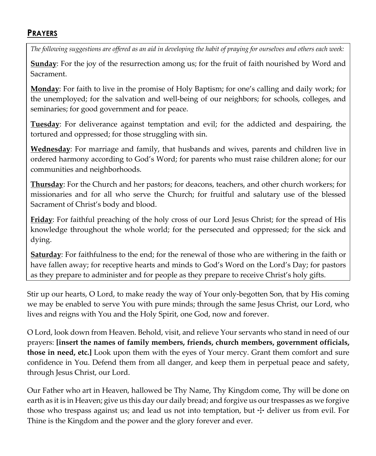# **PRAYERS**

*The following suggestions are offered as an aid in developing the habit of praying for ourselves and others each week:*

**Sunday**: For the joy of the resurrection among us; for the fruit of faith nourished by Word and Sacrament.

**Monday**: For faith to live in the promise of Holy Baptism; for one's calling and daily work; for the unemployed; for the salvation and well-being of our neighbors; for schools, colleges, and seminaries; for good government and for peace.

**Tuesday**: For deliverance against temptation and evil; for the addicted and despairing, the tortured and oppressed; for those struggling with sin.

**Wednesday**: For marriage and family, that husbands and wives, parents and children live in ordered harmony according to God's Word; for parents who must raise children alone; for our communities and neighborhoods.

**Thursday**: For the Church and her pastors; for deacons, teachers, and other church workers; for missionaries and for all who serve the Church; for fruitful and salutary use of the blessed Sacrament of Christ's body and blood.

**Friday**: For faithful preaching of the holy cross of our Lord Jesus Christ; for the spread of His knowledge throughout the whole world; for the persecuted and oppressed; for the sick and dying.

**Saturday**: For faithfulness to the end; for the renewal of those who are withering in the faith or have fallen away; for receptive hearts and minds to God's Word on the Lord's Day; for pastors as they prepare to administer and for people as they prepare to receive Christ's holy gifts.

Stir up our hearts, O Lord, to make ready the way of Your only-begotten Son, that by His coming we may be enabled to serve You with pure minds; through the same Jesus Christ, our Lord, who lives and reigns with You and the Holy Spirit, one God, now and forever.

O Lord, look down from Heaven. Behold, visit, and relieve Your servants who stand in need of our prayers: **[insert the names of family members, friends, church members, government officials, those in need, etc.]** Look upon them with the eyes of Your mercy. Grant them comfort and sure confidence in You. Defend them from all danger, and keep them in perpetual peace and safety, through Jesus Christ, our Lord.

Our Father who art in Heaven, hallowed be Thy Name, Thy Kingdom come, Thy will be done on earth as it is in Heaven; give us this day our daily bread; and forgive us our trespasses as we forgive those who trespass against us; and lead us not into temptation, but  $+$  deliver us from evil. For Thine is the Kingdom and the power and the glory forever and ever.